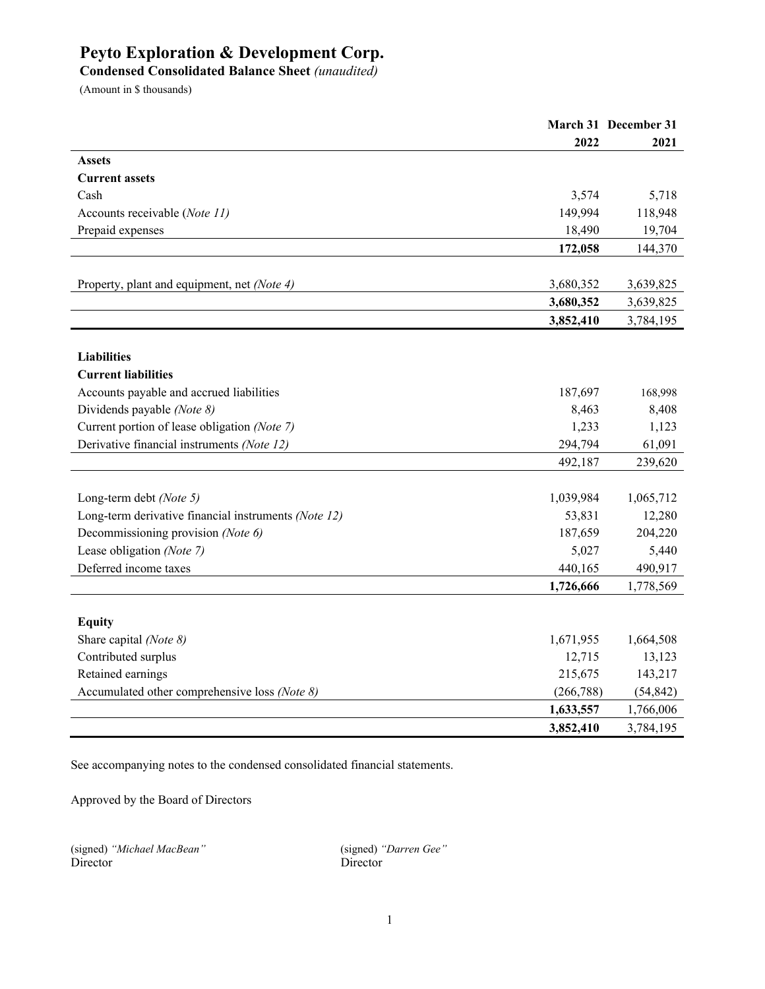**Condensed Consolidated Balance Sheet** *(unaudited)*

(Amount in \$ thousands)

|                                                      |            | March 31 December 31 |
|------------------------------------------------------|------------|----------------------|
|                                                      | 2022       | 2021                 |
| <b>Assets</b>                                        |            |                      |
| <b>Current assets</b>                                |            |                      |
| Cash                                                 | 3,574      | 5,718                |
| Accounts receivable (Note 11)                        | 149,994    | 118,948              |
| Prepaid expenses                                     | 18,490     | 19,704               |
|                                                      | 172,058    | 144,370              |
|                                                      |            |                      |
| Property, plant and equipment, net (Note 4)          | 3,680,352  | 3,639,825            |
|                                                      | 3,680,352  | 3,639,825            |
|                                                      | 3,852,410  | 3,784,195            |
|                                                      |            |                      |
| <b>Liabilities</b>                                   |            |                      |
| <b>Current liabilities</b>                           |            |                      |
| Accounts payable and accrued liabilities             | 187,697    | 168,998              |
| Dividends payable (Note 8)                           | 8,463      | 8,408                |
| Current portion of lease obligation (Note 7)         | 1,233      | 1,123                |
| Derivative financial instruments (Note 12)           | 294,794    | 61,091               |
|                                                      | 492,187    | 239,620              |
|                                                      |            |                      |
| Long-term debt (Note 5)                              | 1,039,984  | 1,065,712            |
| Long-term derivative financial instruments (Note 12) | 53,831     | 12,280               |
| Decommissioning provision (Note 6)                   | 187,659    | 204,220              |
| Lease obligation (Note 7)                            | 5,027      | 5,440                |
| Deferred income taxes                                | 440,165    | 490,917              |
|                                                      | 1,726,666  | 1,778,569            |
|                                                      |            |                      |
| <b>Equity</b>                                        |            |                      |
| Share capital (Note 8)                               | 1,671,955  | 1,664,508            |
| Contributed surplus                                  | 12,715     | 13,123               |
| Retained earnings                                    | 215,675    | 143,217              |
| Accumulated other comprehensive loss (Note 8)        | (266, 788) | (54, 842)            |
|                                                      | 1,633,557  | 1,766,006            |
|                                                      | 3,852,410  | 3,784,195            |

See accompanying notes to the condensed consolidated financial statements.

Approved by the Board of Directors

|          | (signed) "Michael MacBean" |
|----------|----------------------------|
| Director |                            |

(signed) *"Michael MacBean"* (signed) *"Darren Gee"* Director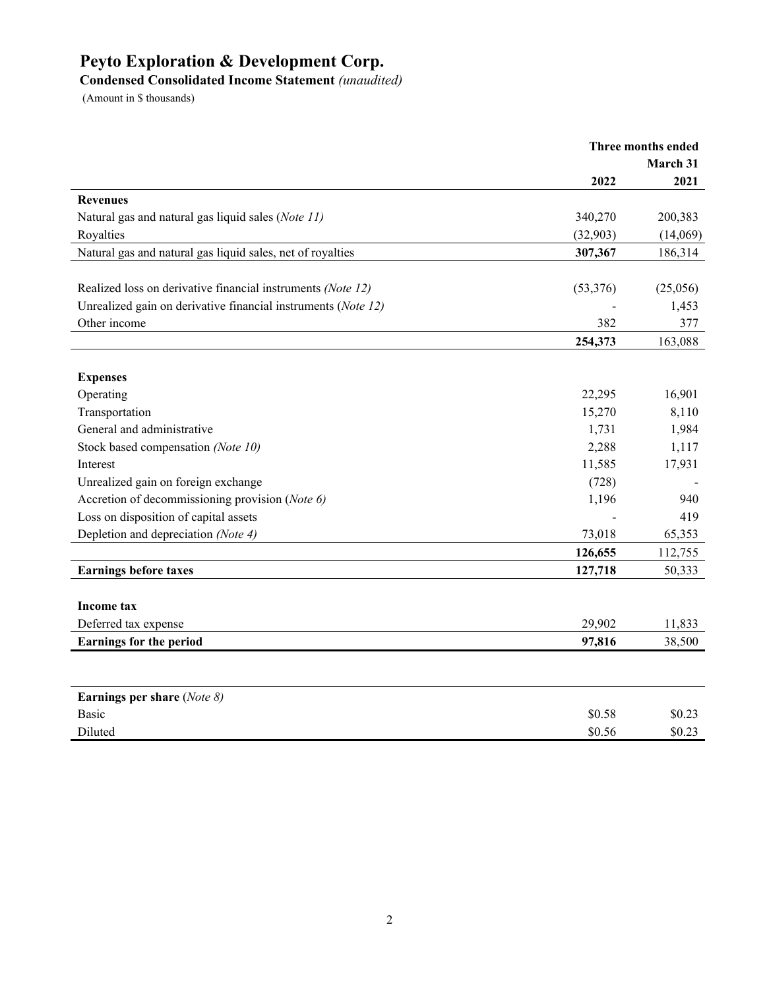# **Condensed Consolidated Income Statement** *(unaudited)*

|                                                               | Three months ended |          |
|---------------------------------------------------------------|--------------------|----------|
|                                                               | March 31           |          |
|                                                               | 2022               | 2021     |
| <b>Revenues</b>                                               |                    |          |
| Natural gas and natural gas liquid sales (Note 11)            | 340,270            | 200,383  |
| Royalties                                                     | (32,903)           | (14,069) |
| Natural gas and natural gas liquid sales, net of royalties    | 307,367            | 186,314  |
|                                                               |                    |          |
| Realized loss on derivative financial instruments (Note 12)   | (53,376)           | (25,056) |
| Unrealized gain on derivative financial instruments (Note 12) |                    | 1,453    |
| Other income                                                  | 382                | 377      |
|                                                               | 254,373            | 163,088  |
| <b>Expenses</b>                                               |                    |          |
| Operating                                                     | 22,295             | 16,901   |
| Transportation                                                | 15,270             | 8,110    |
| General and administrative                                    | 1,731              | 1,984    |
| Stock based compensation (Note 10)                            | 2,288              | 1,117    |
| Interest                                                      | 11,585             | 17,931   |
| Unrealized gain on foreign exchange                           | (728)              |          |
| Accretion of decommissioning provision (Note 6)               | 1,196              | 940      |
| Loss on disposition of capital assets                         |                    | 419      |
| Depletion and depreciation (Note 4)                           | 73,018             | 65,353   |
|                                                               | 126,655            | 112,755  |
| <b>Earnings before taxes</b>                                  | 127,718            | 50,333   |
|                                                               |                    |          |
| <b>Income tax</b>                                             |                    |          |
| Deferred tax expense                                          | 29,902             | 11,833   |
| <b>Earnings for the period</b>                                | 97,816             | 38,500   |
|                                                               |                    |          |
| Earnings per share $(Note 8)$                                 |                    |          |
| <b>Basic</b>                                                  | \$0.58             | \$0.23   |
| Diluted                                                       | \$0.56             | \$0.23   |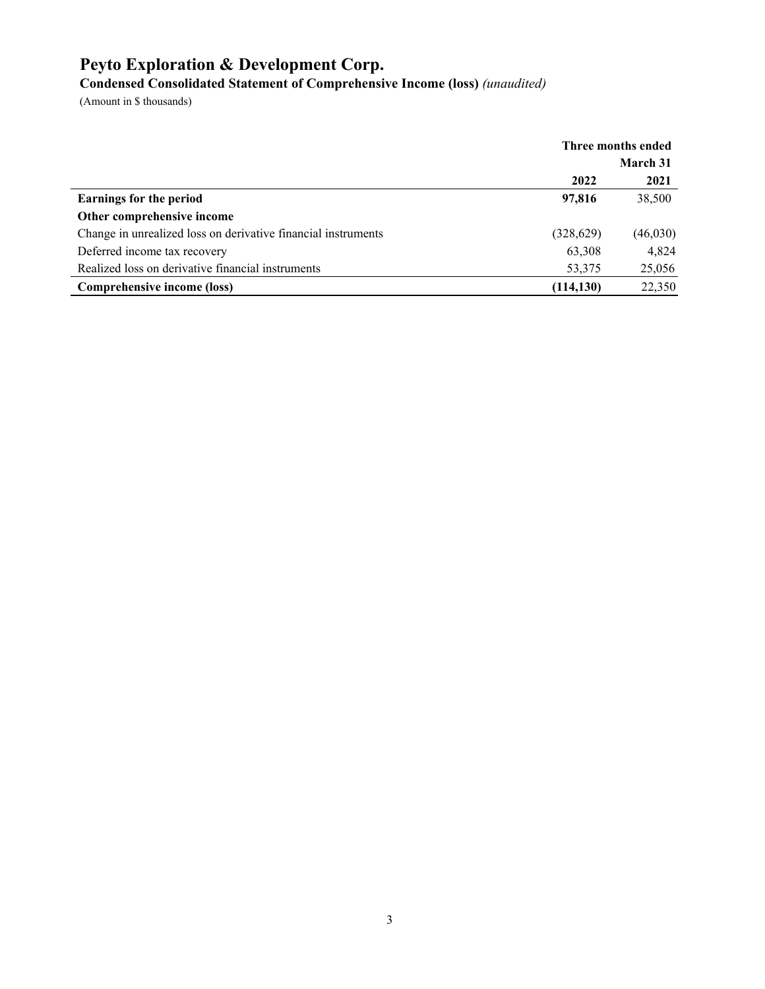**Condensed Consolidated Statement of Comprehensive Income (loss)** *(unaudited)*

|                                                               | Three months ended |                 |
|---------------------------------------------------------------|--------------------|-----------------|
|                                                               |                    | <b>March 31</b> |
|                                                               | 2022               | 2021            |
| <b>Earnings for the period</b>                                | 97,816             | 38,500          |
| Other comprehensive income                                    |                    |                 |
| Change in unrealized loss on derivative financial instruments | (328, 629)         | (46,030)        |
| Deferred income tax recovery                                  | 63,308             | 4,824           |
| Realized loss on derivative financial instruments             | 53,375             | 25,056          |
| Comprehensive income (loss)                                   | (114, 130)         | 22,350          |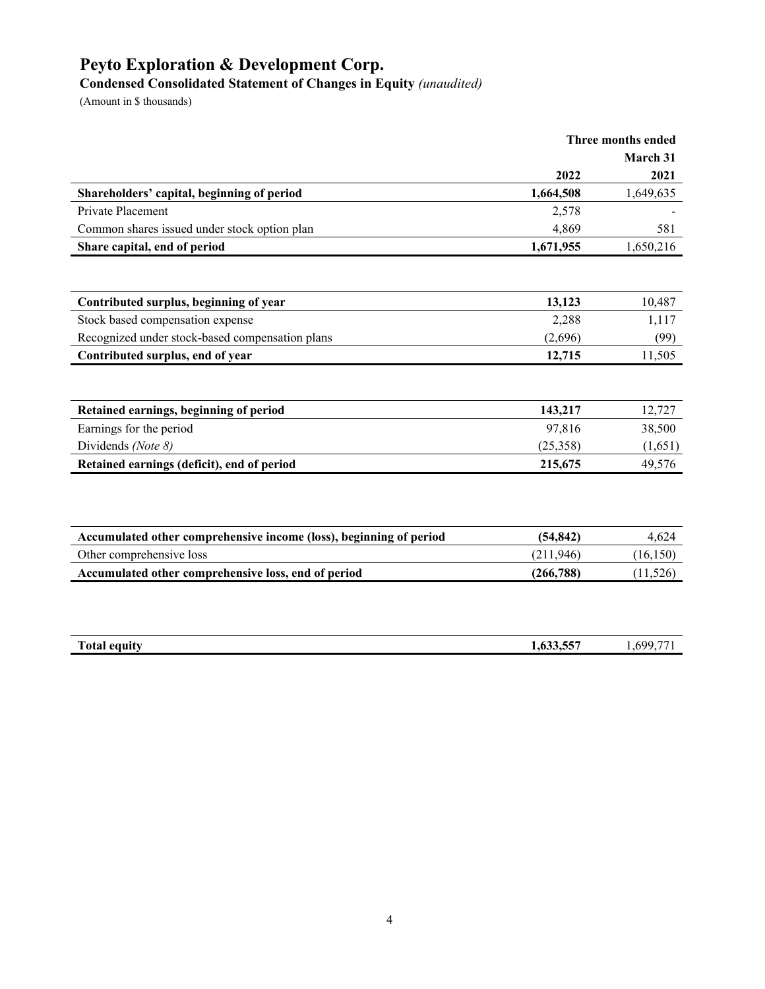**Condensed Consolidated Statement of Changes in Equity** *(unaudited)*

|                                                                    | 2022       | March 31  |
|--------------------------------------------------------------------|------------|-----------|
|                                                                    |            |           |
|                                                                    |            | 2021      |
| Shareholders' capital, beginning of period                         | 1,664,508  | 1,649,635 |
| Private Placement                                                  | 2,578      |           |
| Common shares issued under stock option plan                       | 4,869      | 581       |
| Share capital, end of period                                       | 1,671,955  | 1,650,216 |
|                                                                    |            |           |
| Contributed surplus, beginning of year                             | 13,123     | 10,487    |
| Stock based compensation expense                                   | 2,288      | 1,117     |
| Recognized under stock-based compensation plans                    | (2,696)    | (99)      |
| Contributed surplus, end of year                                   | 12,715     | 11,505    |
|                                                                    |            |           |
| Retained earnings, beginning of period                             | 143,217    | 12,727    |
| Earnings for the period                                            | 97,816     | 38,500    |
| Dividends (Note 8)                                                 | (25,358)   | (1,651)   |
| Retained earnings (deficit), end of period                         | 215,675    | 49,576    |
|                                                                    |            |           |
| Accumulated other comprehensive income (loss), beginning of period | (54, 842)  | 4,624     |
| Other comprehensive loss                                           | (211,946)  | (16, 150) |
| Accumulated other comprehensive loss, end of period                | (266, 788) | (11, 526) |

| <b>TIME</b><br>Total<br>4 equity | $\sqrt{22}$ $\sqrt{27}$<br>1.033.33 | .,699,77 |
|----------------------------------|-------------------------------------|----------|
|                                  |                                     |          |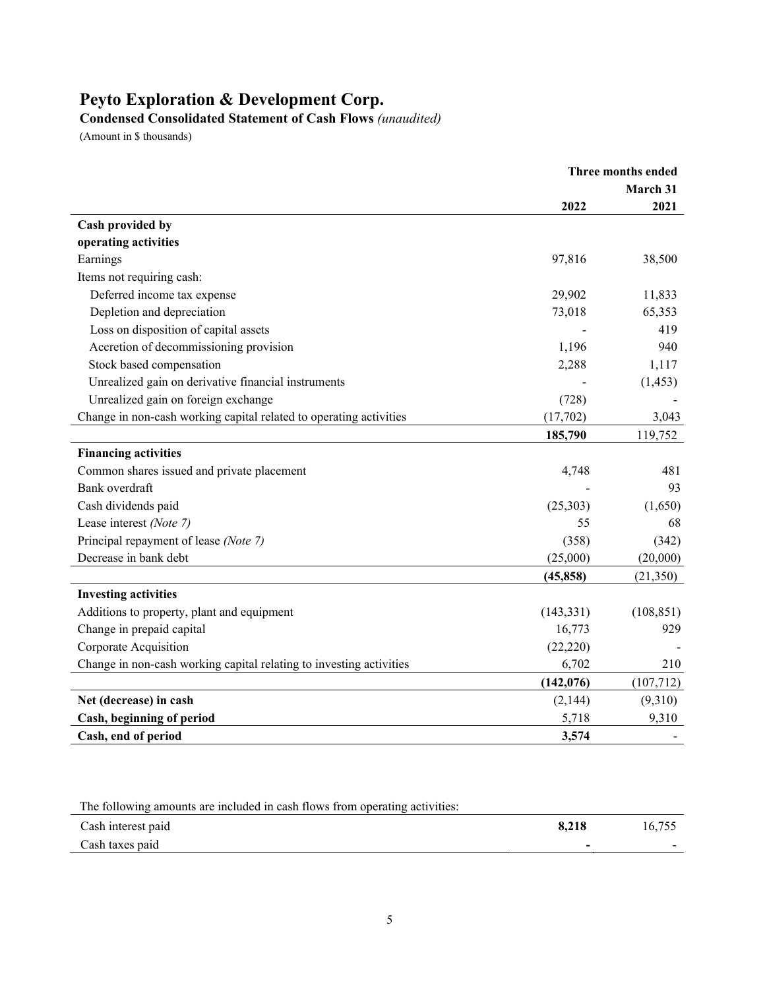**Condensed Consolidated Statement of Cash Flows** *(unaudited)*

|                                                                     | Three months ended |            |
|---------------------------------------------------------------------|--------------------|------------|
|                                                                     | March 31           |            |
|                                                                     | 2022               | 2021       |
| Cash provided by                                                    |                    |            |
| operating activities                                                |                    |            |
| Earnings                                                            | 97,816             | 38,500     |
| Items not requiring cash:                                           |                    |            |
| Deferred income tax expense                                         | 29,902             | 11,833     |
| Depletion and depreciation                                          | 73,018             | 65,353     |
| Loss on disposition of capital assets                               |                    | 419        |
| Accretion of decommissioning provision                              | 1,196              | 940        |
| Stock based compensation                                            | 2,288              | 1,117      |
| Unrealized gain on derivative financial instruments                 |                    | (1, 453)   |
| Unrealized gain on foreign exchange                                 | (728)              |            |
| Change in non-cash working capital related to operating activities  | (17,702)           | 3,043      |
|                                                                     | 185,790            | 119,752    |
| <b>Financing activities</b>                                         |                    |            |
| Common shares issued and private placement                          | 4,748              | 481        |
| Bank overdraft                                                      |                    | 93         |
| Cash dividends paid                                                 | (25,303)           | (1,650)    |
| Lease interest (Note 7)                                             | 55                 | 68         |
| Principal repayment of lease (Note 7)                               | (358)              | (342)      |
| Decrease in bank debt                                               | (25,000)           | (20,000)   |
|                                                                     | (45, 858)          | (21,350)   |
| <b>Investing activities</b>                                         |                    |            |
| Additions to property, plant and equipment                          | (143, 331)         | (108, 851) |
| Change in prepaid capital                                           | 16,773             | 929        |
| Corporate Acquisition                                               | (22, 220)          |            |
| Change in non-cash working capital relating to investing activities | 6,702              | 210        |
|                                                                     | (142, 076)         | (107, 712) |
| Net (decrease) in cash                                              | (2,144)            | (9,310)    |
| Cash, beginning of period                                           | 5,718              | 9,310      |
| Cash, end of period                                                 | 3,574              |            |

| The following amounts are included in cash flows from operating activities: |       |        |
|-----------------------------------------------------------------------------|-------|--------|
| Cash interest paid                                                          | 8.218 | 16.755 |
| Cash taxes paid                                                             |       |        |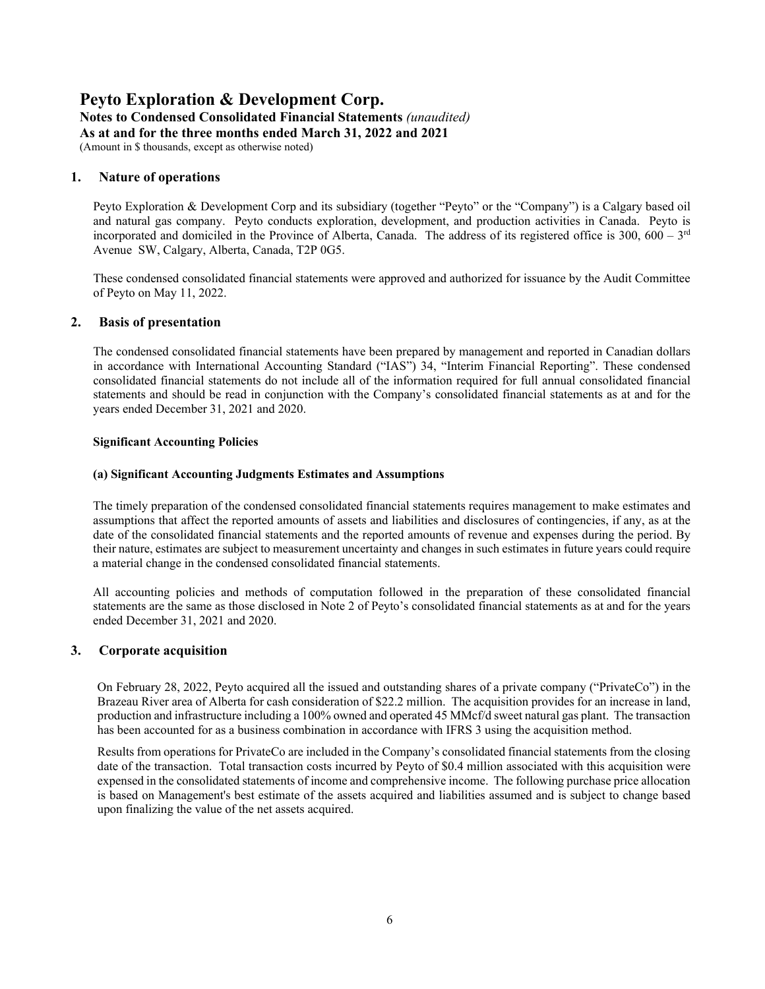# **Peyto Exploration & Development Corp. Notes to Condensed Consolidated Financial Statements** *(unaudited)* **As at and for the three months ended March 31, 2022 and 2021**

(Amount in \$ thousands, except as otherwise noted)

# **1. Nature of operations**

Peyto Exploration & Development Corp and its subsidiary (together "Peyto" or the "Company") is a Calgary based oil and natural gas company. Peyto conducts exploration, development, and production activities in Canada. Peyto is incorporated and domiciled in the Province of Alberta, Canada. The address of its registered office is  $300, 600 - 3^{rd}$ Avenue SW, Calgary, Alberta, Canada, T2P 0G5.

These condensed consolidated financial statements were approved and authorized for issuance by the Audit Committee of Peyto on May 11, 2022.

# **2. Basis of presentation**

The condensed consolidated financial statements have been prepared by management and reported in Canadian dollars in accordance with International Accounting Standard ("IAS") 34, "Interim Financial Reporting". These condensed consolidated financial statements do not include all of the information required for full annual consolidated financial statements and should be read in conjunction with the Company's consolidated financial statements as at and for the years ended December 31, 2021 and 2020.

#### **Significant Accounting Policies**

#### **(a) Significant Accounting Judgments Estimates and Assumptions**

The timely preparation of the condensed consolidated financial statements requires management to make estimates and assumptions that affect the reported amounts of assets and liabilities and disclosures of contingencies, if any, as at the date of the consolidated financial statements and the reported amounts of revenue and expenses during the period. By their nature, estimates are subject to measurement uncertainty and changes in such estimates in future years could require a material change in the condensed consolidated financial statements.

All accounting policies and methods of computation followed in the preparation of these consolidated financial statements are the same as those disclosed in Note 2 of Peyto's consolidated financial statements as at and for the years ended December 31, 2021 and 2020.

#### **3. Corporate acquisition**

On February 28, 2022, Peyto acquired all the issued and outstanding shares of a private company ("PrivateCo") in the Brazeau River area of Alberta for cash consideration of \$22.2 million. The acquisition provides for an increase in land, production and infrastructure including a 100% owned and operated 45 MMcf/d sweet natural gas plant. The transaction has been accounted for as a business combination in accordance with IFRS 3 using the acquisition method.

Results from operations for PrivateCo are included in the Company's consolidated financial statements from the closing date of the transaction. Total transaction costs incurred by Peyto of \$0.4 million associated with this acquisition were expensed in the consolidated statements of income and comprehensive income. The following purchase price allocation is based on Management's best estimate of the assets acquired and liabilities assumed and is subject to change based upon finalizing the value of the net assets acquired.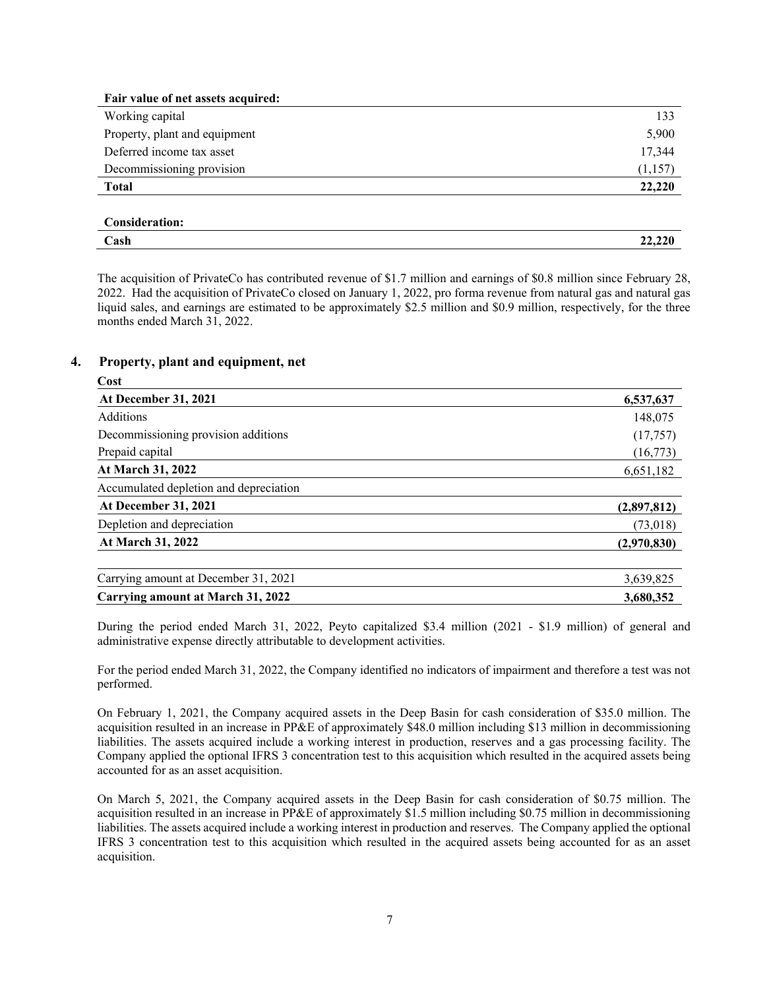| Fair value of net assets acquired: |         |
|------------------------------------|---------|
| Working capital                    | 133     |
| Property, plant and equipment      | 5,900   |
| Deferred income tax asset          | 17,344  |
| Decommissioning provision          | (1,157) |
| <b>Total</b>                       | 22,220  |
|                                    |         |

| . .<br>`onsidorotion+<br>лоп. |    |
|-------------------------------|----|
| Cash<br>-----                 | -- |
|                               |    |

The acquisition of PrivateCo has contributed revenue of \$1.7 million and earnings of \$0.8 million since February 28, 2022. Had the acquisition of PrivateCo closed on January 1, 2022, pro forma revenue from natural gas and natural gas liquid sales, and earnings are estimated to be approximately \$2.5 million and \$0.9 million, respectively, for the three months ended March 31, 2022.

#### **4. Property, plant and equipment, net**

| Cost                                     |             |
|------------------------------------------|-------------|
| <b>At December 31, 2021</b>              | 6,537,637   |
| Additions                                | 148,075     |
| Decommissioning provision additions      | (17,757)    |
| Prepaid capital                          | (16,773)    |
| At March 31, 2022                        | 6,651,182   |
| Accumulated depletion and depreciation   |             |
| <b>At December 31, 2021</b>              | (2,897,812) |
| Depletion and depreciation               | (73,018)    |
| At March 31, 2022                        | (2,970,830) |
| Carrying amount at December 31, 2021     | 3,639,825   |
| <b>Carrying amount at March 31, 2022</b> | 3,680,352   |

During the period ended March 31, 2022, Peyto capitalized \$3.4 million (2021 - \$1.9 million) of general and administrative expense directly attributable to development activities.

For the period ended March 31, 2022, the Company identified no indicators of impairment and therefore a test was not performed.

On February 1, 2021, the Company acquired assets in the Deep Basin for cash consideration of \$35.0 million. The acquisition resulted in an increase in PP&E of approximately \$48.0 million including \$13 million in decommissioning liabilities. The assets acquired include a working interest in production, reserves and a gas processing facility. The Company applied the optional IFRS 3 concentration test to this acquisition which resulted in the acquired assets being accounted for as an asset acquisition.

On March 5, 2021, the Company acquired assets in the Deep Basin for cash consideration of \$0.75 million. The acquisition resulted in an increase in PP&E of approximately \$1.5 million including \$0.75 million in decommissioning liabilities. The assets acquired include a working interest in production and reserves. The Company applied the optional IFRS 3 concentration test to this acquisition which resulted in the acquired assets being accounted for as an asset acquisition.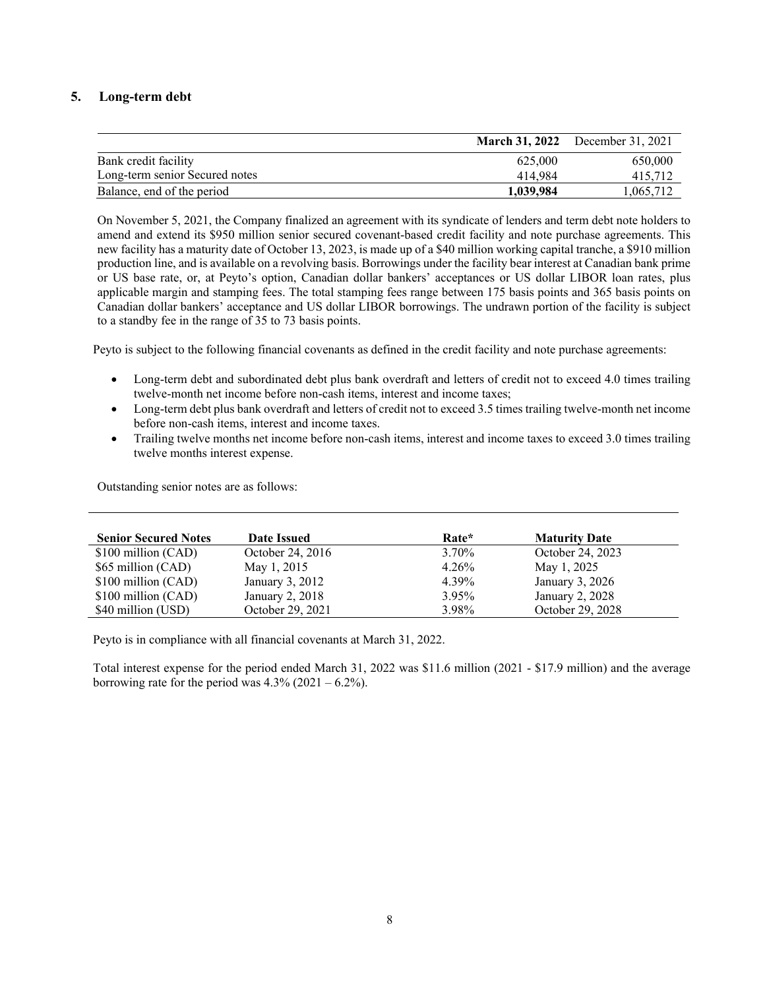# **5. Long-term debt**

|                                |           | <b>March 31, 2022</b> December 31, 2021 |
|--------------------------------|-----------|-----------------------------------------|
| Bank credit facility           | 625,000   | 650,000                                 |
| Long-term senior Secured notes | 414.984   | 415,712                                 |
| Balance, end of the period     | 1.039.984 | 1,065,712                               |

On November 5, 2021, the Company finalized an agreement with its syndicate of lenders and term debt note holders to amend and extend its \$950 million senior secured covenant-based credit facility and note purchase agreements. This new facility has a maturity date of October 13, 2023, is made up of a \$40 million working capital tranche, a \$910 million production line, and is available on a revolving basis. Borrowings under the facility bear interest at Canadian bank prime or US base rate, or, at Peyto's option, Canadian dollar bankers' acceptances or US dollar LIBOR loan rates, plus applicable margin and stamping fees. The total stamping fees range between 175 basis points and 365 basis points on Canadian dollar bankers' acceptance and US dollar LIBOR borrowings. The undrawn portion of the facility is subject to a standby fee in the range of 35 to 73 basis points.

Peyto is subject to the following financial covenants as defined in the credit facility and note purchase agreements:

- Long-term debt and subordinated debt plus bank overdraft and letters of credit not to exceed 4.0 times trailing twelve-month net income before non-cash items, interest and income taxes;
- Long-term debt plus bank overdraft and letters of credit not to exceed 3.5 times trailing twelve-month net income before non-cash items, interest and income taxes.
- Trailing twelve months net income before non-cash items, interest and income taxes to exceed 3.0 times trailing twelve months interest expense.

Outstanding senior notes are as follows:

| <b>Senior Secured Notes</b> | Date Issued      | Rate*    | <b>Maturity Date</b> |
|-----------------------------|------------------|----------|----------------------|
| \$100 million (CAD)         | October 24, 2016 | $3.70\%$ | October 24, 2023     |
| \$65 million (CAD)          | May 1, 2015      | 4.26%    | May 1, 2025          |
| \$100 million (CAD)         | January 3, 2012  | 4.39%    | January 3, 2026      |
| \$100 million (CAD)         | January 2, 2018  | 3.95%    | January 2, 2028      |
| \$40 million (USD)          | October 29, 2021 | 3.98%    | October 29, 2028     |

Peyto is in compliance with all financial covenants at March 31, 2022.

Total interest expense for the period ended March 31, 2022 was \$11.6 million (2021 - \$17.9 million) and the average borrowing rate for the period was  $4.3\%$  (2021 – 6.2%).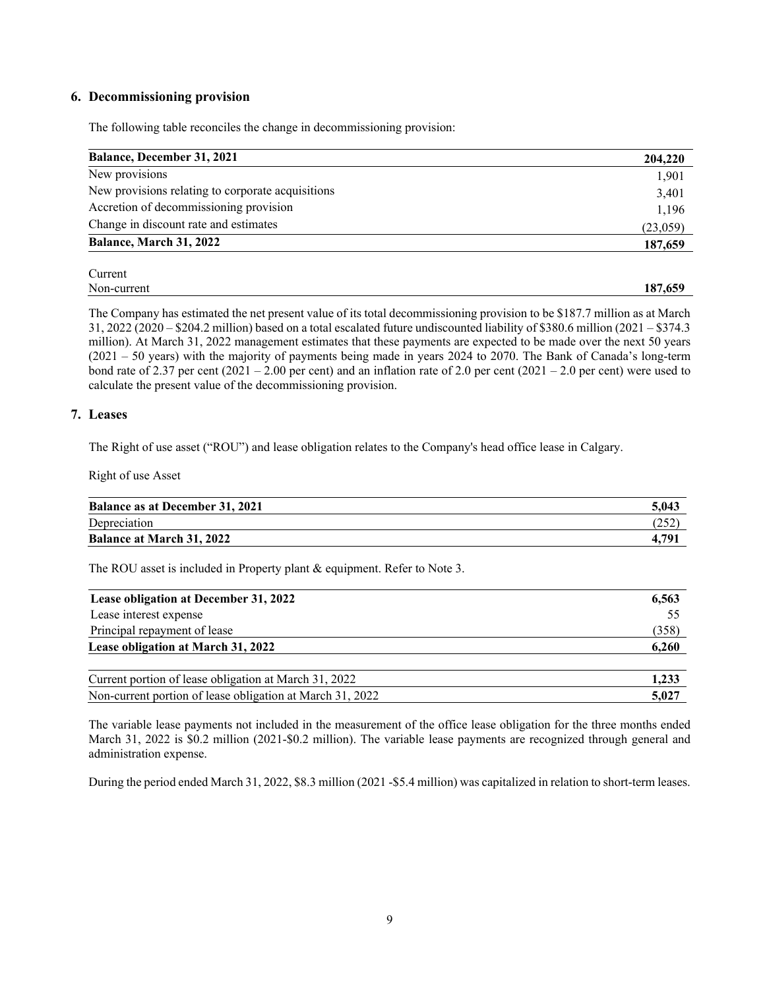# **6. Decommissioning provision**

The following table reconciles the change in decommissioning provision:

| 204,220  |
|----------|
| 1,901    |
| 3,401    |
| 1,196    |
| (23,059) |
| 187,659  |
|          |

| Non-current | 187<br>$\epsilon$ $\epsilon$<br>-659 |
|-------------|--------------------------------------|

The Company has estimated the net present value of its total decommissioning provision to be \$187.7 million as at March 31, 2022 (2020 – \$204.2 million) based on a total escalated future undiscounted liability of \$380.6 million (2021 – \$374.3 million). At March 31, 2022 management estimates that these payments are expected to be made over the next 50 years (2021 – 50 years) with the majority of payments being made in years 2024 to 2070. The Bank of Canada's long-term bond rate of 2.37 per cent  $(2021 - 2.00$  per cent) and an inflation rate of 2.0 per cent  $(2021 - 2.0$  per cent) were used to calculate the present value of the decommissioning provision.

### **7. Leases**

The Right of use asset ("ROU") and lease obligation relates to the Company's head office lease in Calgary.

Right of use Asset

| <b>Balance as at December 31, 2021</b> | 5.043 |
|----------------------------------------|-------|
| Depreciation                           | 252   |
| <b>Balance at March 31, 2022</b>       | 4.791 |

The ROU asset is included in Property plant & equipment. Refer to Note 3.

| Lease obligation at December 31, 2022                     | 6,563 |
|-----------------------------------------------------------|-------|
| Lease interest expense                                    | 55    |
| Principal repayment of lease                              | (358) |
| Lease obligation at March 31, 2022                        | 6,260 |
| Current portion of lease obligation at March 31, 2022     | 1,233 |
| Non-current portion of lease obligation at March 31, 2022 | 5.027 |

The variable lease payments not included in the measurement of the office lease obligation for the three months ended March 31, 2022 is \$0.2 million (2021-\$0.2 million). The variable lease payments are recognized through general and administration expense.

During the period ended March 31, 2022, \$8.3 million (2021 -\$5.4 million) was capitalized in relation to short-term leases.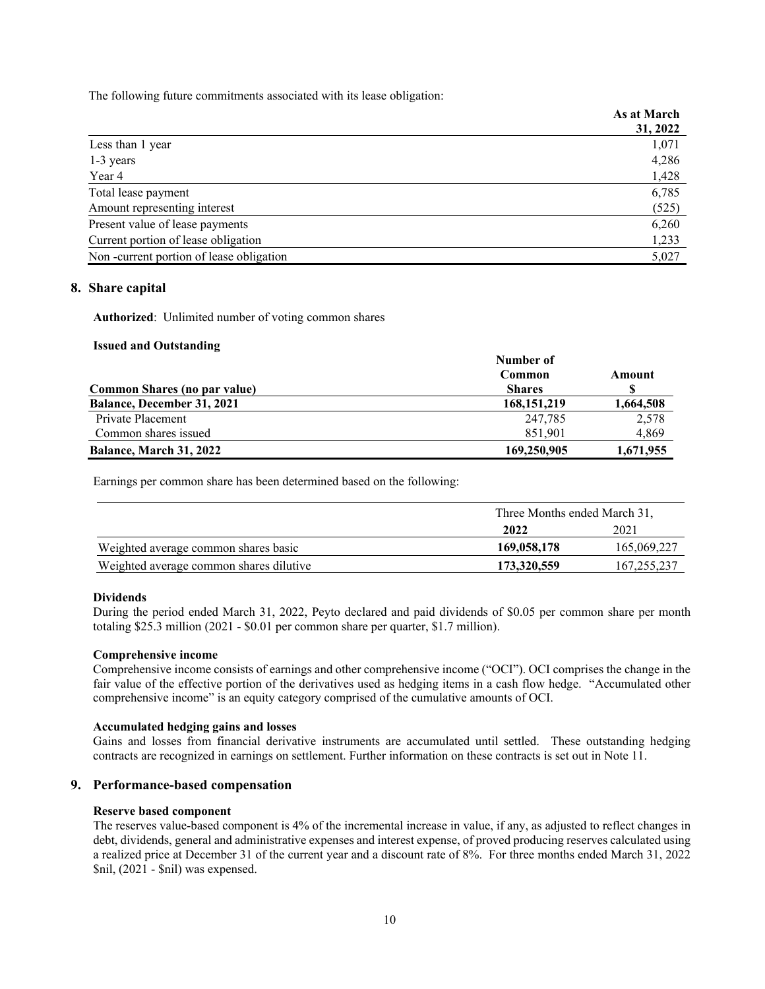The following future commitments associated with its lease obligation:

| As at March |
|-------------|
| 31, 2022    |
| 1,071       |
| 4,286       |
| 1,428       |
| 6,785       |
| (525)       |
| 6,260       |
| 1,233       |
| 5,027       |
|             |

# **8. Share capital**

**Authorized**: Unlimited number of voting common shares

#### **Issued and Outstanding**

|                                     | Number of     |           |
|-------------------------------------|---------------|-----------|
|                                     | Common        | Amount    |
| <b>Common Shares (no par value)</b> | <b>Shares</b> |           |
| <b>Balance, December 31, 2021</b>   | 168, 151, 219 | 1,664,508 |
| Private Placement                   | 247.785       | 2,578     |
| Common shares issued                | 851.901       | 4,869     |
| Balance, March 31, 2022             | 169,250,905   | 1,671,955 |

Earnings per common share has been determined based on the following:

|                                         | Three Months ended March 31, |               |
|-----------------------------------------|------------------------------|---------------|
|                                         | 2022                         | 2021          |
| Weighted average common shares basic    | 169,058,178                  | 165,069,227   |
| Weighted average common shares dilutive | 173,320,559                  | 167, 255, 237 |

# **Dividends**

During the period ended March 31, 2022, Peyto declared and paid dividends of \$0.05 per common share per month totaling \$25.3 million (2021 - \$0.01 per common share per quarter, \$1.7 million).

#### **Comprehensive income**

Comprehensive income consists of earnings and other comprehensive income ("OCI"). OCI comprises the change in the fair value of the effective portion of the derivatives used as hedging items in a cash flow hedge. "Accumulated other comprehensive income" is an equity category comprised of the cumulative amounts of OCI.

#### **Accumulated hedging gains and losses**

Gains and losses from financial derivative instruments are accumulated until settled. These outstanding hedging contracts are recognized in earnings on settlement. Further information on these contracts is set out in Note 11.

# **9. Performance-based compensation**

# **Reserve based component**

The reserves value-based component is 4% of the incremental increase in value, if any, as adjusted to reflect changes in debt, dividends, general and administrative expenses and interest expense, of proved producing reserves calculated using a realized price at December 31 of the current year and a discount rate of 8%. For three months ended March 31, 2022 \$nil, (2021 - \$nil) was expensed.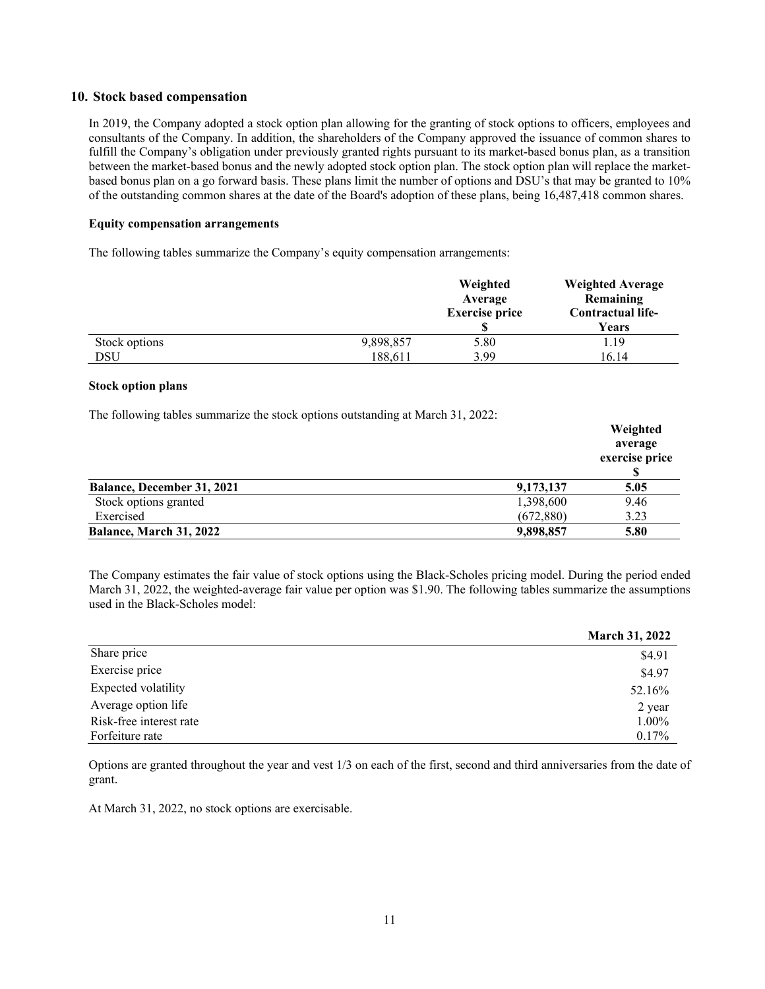# **10. Stock based compensation**

In 2019, the Company adopted a stock option plan allowing for the granting of stock options to officers, employees and consultants of the Company. In addition, the shareholders of the Company approved the issuance of common shares to fulfill the Company's obligation under previously granted rights pursuant to its market-based bonus plan, as a transition between the market-based bonus and the newly adopted stock option plan. The stock option plan will replace the marketbased bonus plan on a go forward basis. These plans limit the number of options and DSU's that may be granted to 10% of the outstanding common shares at the date of the Board's adoption of these plans, being 16,487,418 common shares.

### **Equity compensation arrangements**

The following tables summarize the Company's equity compensation arrangements:

|               |           | Weighted<br>Average<br><b>Exercise price</b> | <b>Weighted Average</b><br>Remaining<br>Contractual life-<br>Years |
|---------------|-----------|----------------------------------------------|--------------------------------------------------------------------|
| Stock options | 9,898,857 | 5.80                                         | 1.19                                                               |
| DSU           | 188,611   | 3.99                                         | 16.14                                                              |

#### **Stock option plans**

The following tables summarize the stock options outstanding at March 31, 2022:

|                                   |           | Weighted<br>average<br>exercise price |
|-----------------------------------|-----------|---------------------------------------|
| <b>Balance, December 31, 2021</b> | 9,173,137 | 5.05                                  |
| Stock options granted             | 1,398,600 | 9.46                                  |
| Exercised                         | (672,880) | 3.23                                  |
| Balance, March 31, 2022           | 9,898,857 | 5.80                                  |

The Company estimates the fair value of stock options using the Black-Scholes pricing model. During the period ended March 31, 2022, the weighted-average fair value per option was \$1.90. The following tables summarize the assumptions used in the Black-Scholes model:

|                         | <b>March 31, 2022</b> |
|-------------------------|-----------------------|
| Share price             | \$4.91                |
| Exercise price          | \$4.97                |
| Expected volatility     | 52.16%                |
| Average option life     | 2 year                |
| Risk-free interest rate | $1.00\%$              |
| Forfeiture rate         | $0.17\%$              |

Options are granted throughout the year and vest 1/3 on each of the first, second and third anniversaries from the date of grant.

At March 31, 2022, no stock options are exercisable.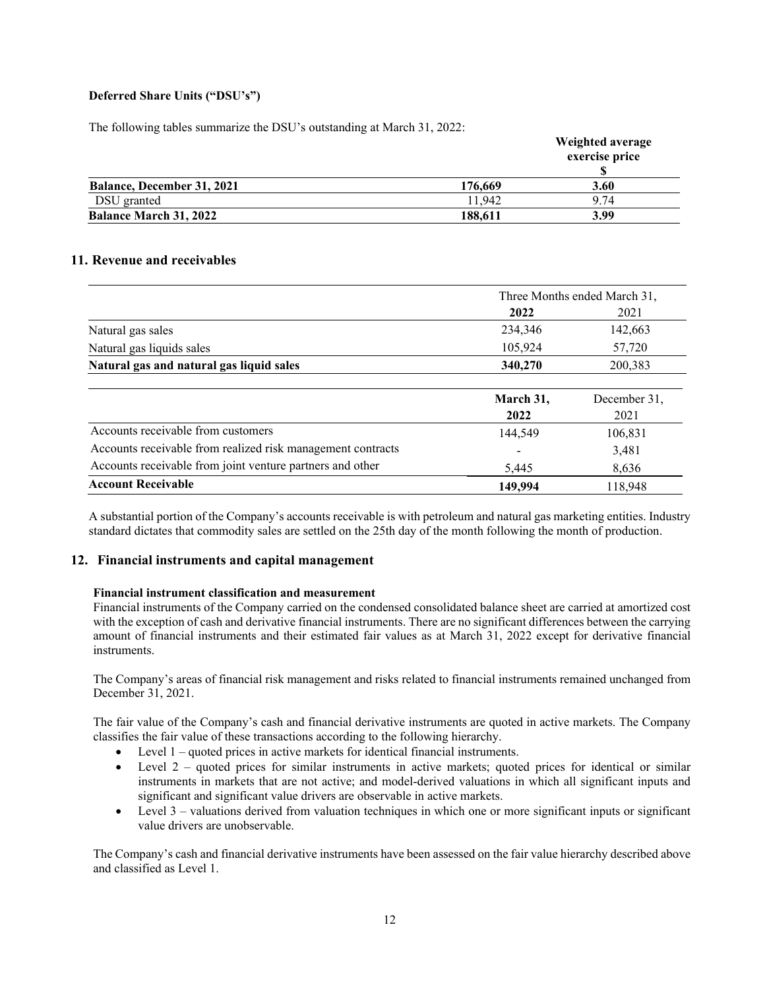# **Deferred Share Units ("DSU's")**

The following tables summarize the DSU's outstanding at March 31, 2022:

|                                   |         | Weighted average<br>exercise price |
|-----------------------------------|---------|------------------------------------|
| <b>Balance, December 31, 2021</b> | 176,669 | 3.60                               |
| DSU granted                       | 1.942   | 9.74                               |
| <b>Balance March 31, 2022</b>     | 188,611 | 3.99                               |

# **11. Revenue and receivables**

|                                                             | Three Months ended March 31, |                      |  |
|-------------------------------------------------------------|------------------------------|----------------------|--|
|                                                             | 2022                         | 2021                 |  |
| Natural gas sales                                           | 234,346                      | 142,663              |  |
| Natural gas liquids sales                                   | 105,924                      | 57,720               |  |
| Natural gas and natural gas liquid sales                    | 340,270                      | 200,383              |  |
|                                                             | March 31,<br>2022            | December 31,<br>2021 |  |
| Accounts receivable from customers                          | 144,549                      | 106,831              |  |
| Accounts receivable from realized risk management contracts |                              | 3,481                |  |
| Accounts receivable from joint venture partners and other   | 5,445                        | 8,636                |  |
| <b>Account Receivable</b>                                   | 149,994                      | 118.948              |  |

A substantial portion of the Company's accounts receivable is with petroleum and natural gas marketing entities. Industry standard dictates that commodity sales are settled on the 25th day of the month following the month of production.

# **12. Financial instruments and capital management**

#### **Financial instrument classification and measurement**

Financial instruments of the Company carried on the condensed consolidated balance sheet are carried at amortized cost with the exception of cash and derivative financial instruments. There are no significant differences between the carrying amount of financial instruments and their estimated fair values as at March 31, 2022 except for derivative financial instruments.

The Company's areas of financial risk management and risks related to financial instruments remained unchanged from December 31, 2021.

The fair value of the Company's cash and financial derivative instruments are quoted in active markets. The Company classifies the fair value of these transactions according to the following hierarchy.

- Level 1 quoted prices in active markets for identical financial instruments.
- Level 2 quoted prices for similar instruments in active markets; quoted prices for identical or similar instruments in markets that are not active; and model-derived valuations in which all significant inputs and significant and significant value drivers are observable in active markets.
- Level 3 valuations derived from valuation techniques in which one or more significant inputs or significant value drivers are unobservable.

The Company's cash and financial derivative instruments have been assessed on the fair value hierarchy described above and classified as Level 1.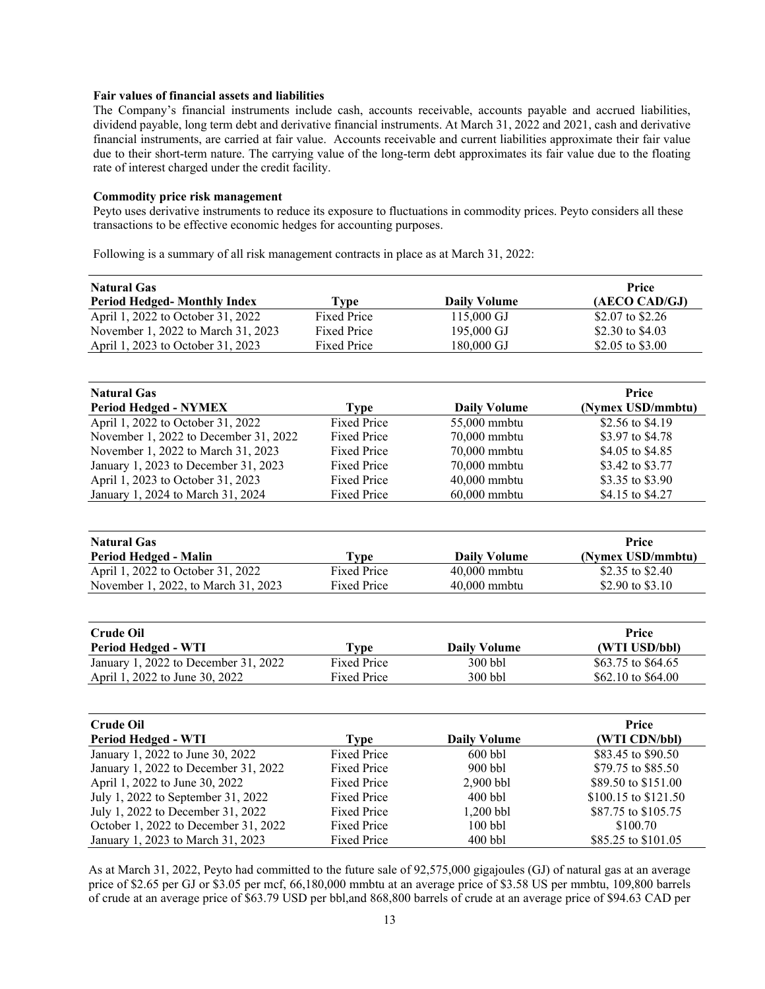### **Fair values of financial assets and liabilities**

The Company's financial instruments include cash, accounts receivable, accounts payable and accrued liabilities, dividend payable, long term debt and derivative financial instruments. At March 31, 2022 and 2021, cash and derivative financial instruments, are carried at fair value. Accounts receivable and current liabilities approximate their fair value due to their short-term nature. The carrying value of the long-term debt approximates its fair value due to the floating rate of interest charged under the credit facility.

#### **Commodity price risk management**

Peyto uses derivative instruments to reduce its exposure to fluctuations in commodity prices. Peyto considers all these transactions to be effective economic hedges for accounting purposes.

Following is a summary of all risk management contracts in place as at March 31, 2022:

| <b>Natural Gas</b>                    |                    |                     | Price                |  |  |
|---------------------------------------|--------------------|---------------------|----------------------|--|--|
| <b>Period Hedged- Monthly Index</b>   | <b>Type</b>        | <b>Daily Volume</b> | (AECO CAD/GJ)        |  |  |
| April 1, 2022 to October 31, 2022     | <b>Fixed Price</b> | 115,000 GJ          | \$2.07 to \$2.26     |  |  |
| November 1, 2022 to March 31, 2023    | <b>Fixed Price</b> | 195,000 GJ          | \$2.30 to \$4.03     |  |  |
| April 1, 2023 to October 31, 2023     | <b>Fixed Price</b> | 180,000 GJ          | \$2.05 to \$3.00     |  |  |
|                                       |                    |                     |                      |  |  |
| <b>Natural Gas</b>                    |                    |                     | Price                |  |  |
| <b>Period Hedged - NYMEX</b>          | <b>Type</b>        | <b>Daily Volume</b> | (Nymex USD/mmbtu)    |  |  |
| April 1, 2022 to October 31, 2022     | <b>Fixed Price</b> | 55,000 mmbtu        | \$2.56 to \$4.19     |  |  |
| November 1, 2022 to December 31, 2022 | <b>Fixed Price</b> | 70,000 mmbtu        | \$3.97 to \$4.78     |  |  |
| November 1, 2022 to March 31, 2023    | <b>Fixed Price</b> | 70,000 mmbtu        | \$4.05 to \$4.85     |  |  |
| January 1, 2023 to December 31, 2023  | <b>Fixed Price</b> | 70,000 mmbtu        | \$3.42 to \$3.77     |  |  |
| April 1, 2023 to October 31, 2023     | <b>Fixed Price</b> | 40,000 mmbtu        | \$3.35 to \$3.90     |  |  |
| January 1, 2024 to March 31, 2024     | <b>Fixed Price</b> | 60,000 mmbtu        | \$4.15 to \$4.27     |  |  |
|                                       |                    |                     |                      |  |  |
| <b>Natural Gas</b>                    |                    |                     | Price                |  |  |
| Period Hedged - Malin                 | <b>Type</b>        | <b>Daily Volume</b> | (Nymex USD/mmbtu)    |  |  |
| April 1, 2022 to October 31, 2022     | <b>Fixed Price</b> | 40,000 mmbtu        | \$2.35 to \$2.40     |  |  |
| November 1, 2022, to March 31, 2023   | <b>Fixed Price</b> | 40,000 mmbtu        | \$2.90 to \$3.10     |  |  |
|                                       |                    |                     |                      |  |  |
| <b>Crude Oil</b>                      |                    |                     | Price                |  |  |
| <b>Period Hedged - WTI</b>            | <b>Type</b>        | <b>Daily Volume</b> | (WTI USD/bbl)        |  |  |
| January 1, 2022 to December 31, 2022  | <b>Fixed Price</b> | 300 bbl             | \$63.75 to \$64.65   |  |  |
| April 1, 2022 to June 30, 2022        | <b>Fixed Price</b> | 300 bbl             | \$62.10 to \$64.00   |  |  |
|                                       |                    |                     |                      |  |  |
| <b>Crude Oil</b>                      |                    |                     | Price                |  |  |
| <b>Period Hedged - WTI</b>            | <b>Type</b>        | <b>Daily Volume</b> | (WTI CDN/bbl)        |  |  |
| January 1, 2022 to June 30, 2022      | <b>Fixed Price</b> | 600 bbl             | \$83.45 to \$90.50   |  |  |
| January 1, 2022 to December 31, 2022  | <b>Fixed Price</b> | 900 bbl             | \$79.75 to \$85.50   |  |  |
| April 1, 2022 to June 30, 2022        | <b>Fixed Price</b> | 2,900 bbl           | \$89.50 to \$151.00  |  |  |
| July 1, 2022 to September 31, 2022    | <b>Fixed Price</b> | $400$ bbl           | \$100.15 to \$121.50 |  |  |
| July 1, 2022 to December 31, 2022     | <b>Fixed Price</b> | 1,200 bbl           | \$87.75 to \$105.75  |  |  |
| October 1, 2022 to December 31, 2022  | <b>Fixed Price</b> | 100 bbl             | \$100.70             |  |  |
| January 1, 2023 to March 31, 2023     | <b>Fixed Price</b> | 400 bbl             | \$85.25 to \$101.05  |  |  |
|                                       |                    |                     |                      |  |  |

As at March 31, 2022, Peyto had committed to the future sale of 92,575,000 gigajoules (GJ) of natural gas at an average price of \$2.65 per GJ or \$3.05 per mcf, 66,180,000 mmbtu at an average price of \$3.58 US per mmbtu, 109,800 barrels of crude at an average price of \$63.79 USD per bbl,and 868,800 barrels of crude at an average price of \$94.63 CAD per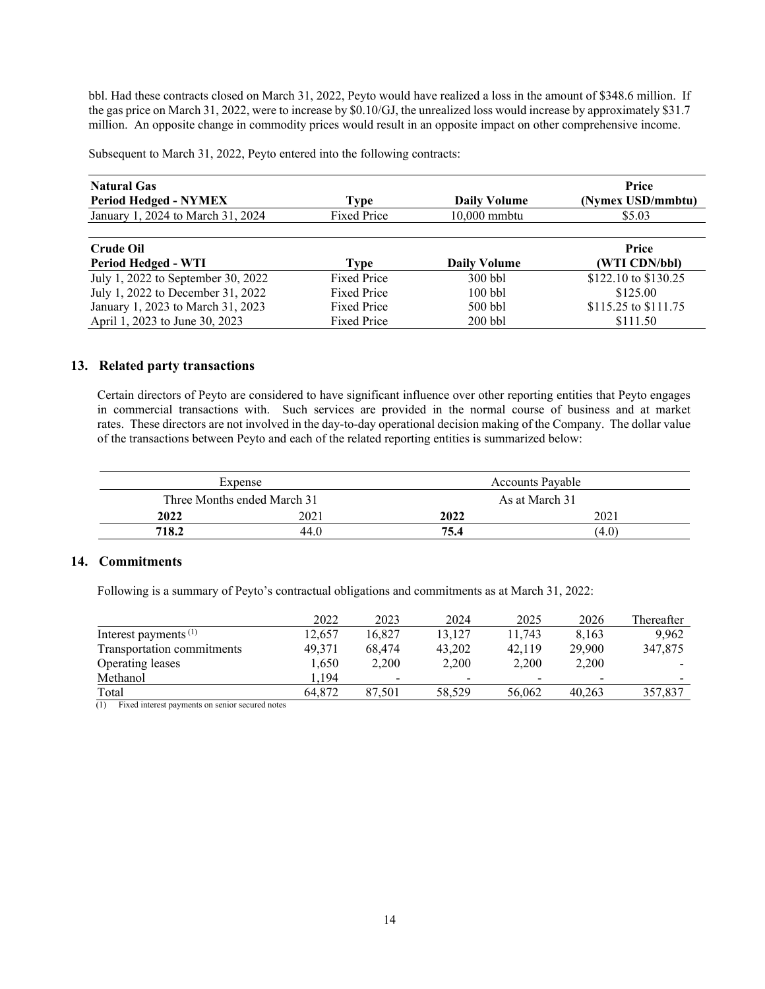bbl. Had these contracts closed on March 31, 2022, Peyto would have realized a loss in the amount of \$348.6 million. If the gas price on March 31, 2022, were to increase by \$0.10/GJ, the unrealized loss would increase by approximately \$31.7 million. An opposite change in commodity prices would result in an opposite impact on other comprehensive income.

Subsequent to March 31, 2022, Peyto entered into the following contracts:

| <b>Natural Gas</b><br><b>Period Hedged - NYMEX</b> | Type               | <b>Daily Volume</b> | Price<br>(Nymex USD/mmbtu) |  |
|----------------------------------------------------|--------------------|---------------------|----------------------------|--|
| January 1, 2024 to March 31, 2024                  | Fixed Price        | 10,000 mmbtu        | \$5.03                     |  |
|                                                    |                    |                     |                            |  |
| <b>Crude Oil</b>                                   |                    |                     | Price                      |  |
| Period Hedged - WTI                                | Type               | <b>Daily Volume</b> | (WTI CDN/bbl)              |  |
| July 1, 2022 to September 30, 2022                 | <b>Fixed Price</b> | $300$ bbl           | \$122.10 to \$130.25       |  |
| July 1, 2022 to December 31, 2022                  | <b>Fixed Price</b> | $100$ bbl           | \$125.00                   |  |
| January 1, 2023 to March 31, 2023                  | <b>Fixed Price</b> | $500$ bbl           | \$115.25 to \$111.75       |  |
| April 1, 2023 to June 30, 2023                     | <b>Fixed Price</b> | $200$ bbl           | \$111.50                   |  |

# **13. Related party transactions**

Certain directors of Peyto are considered to have significant influence over other reporting entities that Peyto engages in commercial transactions with. Such services are provided in the normal course of business and at market rates. These directors are not involved in the day-to-day operational decision making of the Company. The dollar value of the transactions between Peyto and each of the related reporting entities is summarized below:

|       | Expense                                       |      | <b>Accounts Pavable</b> |
|-------|-----------------------------------------------|------|-------------------------|
|       | Three Months ended March 31<br>As at March 31 |      |                         |
| 2022  | 2021                                          | 2022 | 2021                    |
| 718.2 | 44.0                                          | 75.4 | (4.0)                   |

# **14. Commitments**

Following is a summary of Peyto's contractual obligations and commitments as at March 31, 2022:

|                            | 2022   | 2023                     | 2024   | 2025                     | 2026   | Thereafter |
|----------------------------|--------|--------------------------|--------|--------------------------|--------|------------|
| Interest payments $(1)$    | 12.657 | 16.827                   | 13.127 | 11.743                   | 8.163  | 9.962      |
| Transportation commitments | 49.371 | 68,474                   | 43,202 | 42.119                   | 29,900 | 347,875    |
| Operating leases           | 1,650  | 2.200                    | 2.200  | 2.200                    | 2,200  |            |
| Methanol                   | 194.   | $\overline{\phantom{0}}$ | ۰      | $\overline{\phantom{0}}$ | -      |            |
| Total                      | 64.872 | 87.501                   | 58,529 | 56,062                   | 40.263 | 357,837    |

(1) Fixed interest payments on senior secured notes